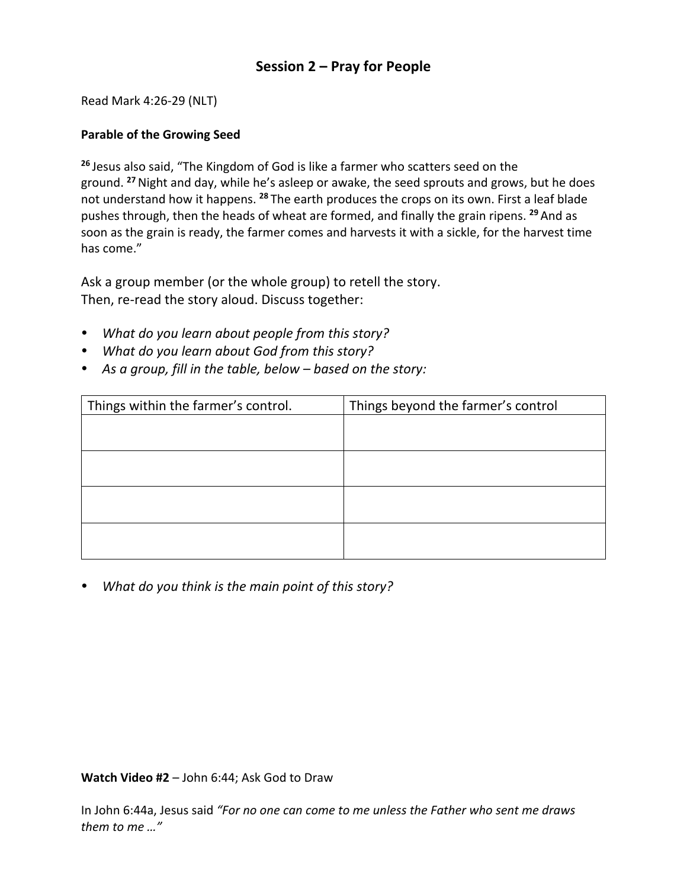## **Session 2 – Pray for People**

Read Mark 4:26-29 (NLT)

## **Parable of the Growing Seed**

**<sup>26</sup>** Jesus also said, "The Kingdom of God is like a farmer who scatters seed on the ground. **<sup>27</sup>**Night and day, while he's asleep or awake, the seed sprouts and grows, but he does not understand how it happens. **<sup>28</sup>** The earth produces the crops on its own. First a leaf blade pushes through, then the heads of wheat are formed, and finally the grain ripens. **<sup>29</sup>** And as soon as the grain is ready, the farmer comes and harvests it with a sickle, for the harvest time has come."

Ask a group member (or the whole group) to retell the story. Then, re-read the story aloud. Discuss together:

- *What do you learn about people from this story?*
- *What do you learn about God from this story?*
- *As a group, fill in the table, below – based on the story:*

| Things within the farmer's control. | Things beyond the farmer's control |
|-------------------------------------|------------------------------------|
|                                     |                                    |
|                                     |                                    |
|                                     |                                    |
|                                     |                                    |
|                                     |                                    |
|                                     |                                    |
|                                     |                                    |
|                                     |                                    |

*What do you think is the main point of this story?*

## **Watch Video #2** – John 6:44; Ask God to Draw

In John 6:44a, Jesus said *"For no one can come to me unless the Father who sent me draws them to me …"*